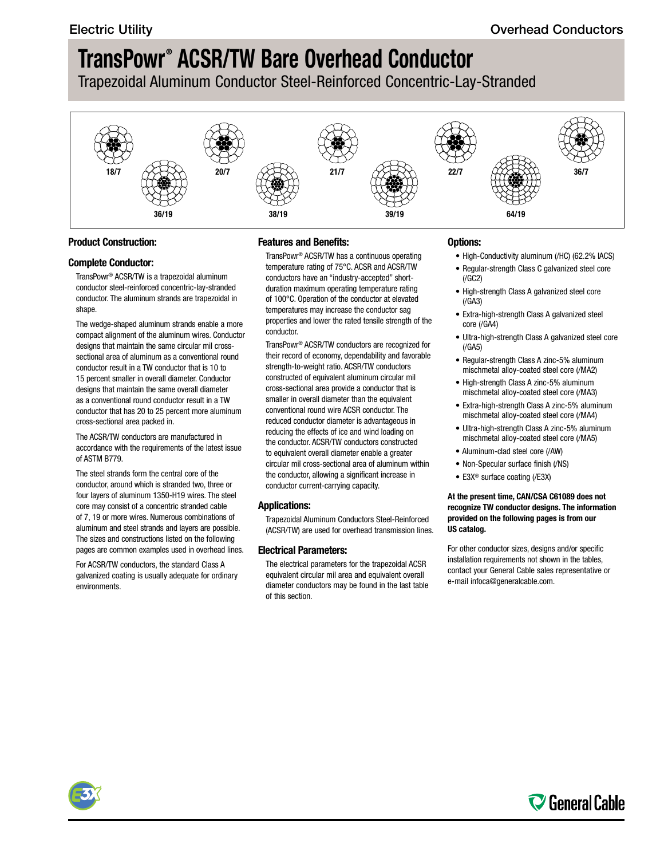Trapezoidal Aluminum Conductor Steel-Reinforced Concentric-Lay-Stranded



### **Product Construction:**

### **Complete Conductor:**

TransPowr® ACSR/TW is a trapezoidal aluminum conductor steel-reinforced concentric-lay-stranded conductor. The aluminum strands are trapezoidal in shape.

The wedge-shaped aluminum strands enable a more compact alignment of the aluminum wires. Conductor designs that maintain the same circular mil crosssectional area of aluminum as a conventional round conductor result in a TW conductor that is 10 to 15 percent smaller in overall diameter. Conductor designs that maintain the same overall diameter as a conventional round conductor result in a TW conductor that has 20 to 25 percent more aluminum cross-sectional area packed in.

The ACSR/TW conductors are manufactured in accordance with the requirements of the latest issue of ASTM B779.

The steel strands form the central core of the conductor, around which is stranded two, three or four layers of aluminum 1350-H19 wires. The steel core may consist of a concentric stranded cable of 7, 19 or more wires. Numerous combinations of aluminum and steel strands and layers are possible. The sizes and constructions listed on the following pages are common examples used in overhead lines.

For ACSR/TW conductors, the standard Class A galvanized coating is usually adequate for ordinary environments.

### **Features and Benefits:**

TransPowr® ACSR/TW has a continuous operating temperature rating of 75°C. ACSR and ACSR/TW conductors have an "industry-accepted" shortduration maximum operating temperature rating of 100°C. Operation of the conductor at elevated temperatures may increase the conductor sag properties and lower the rated tensile strength of the conductor.

TransPowr® ACSR/TW conductors are recognized for their record of economy, dependability and favorable strength-to-weight ratio. ACSR/TW conductors constructed of equivalent aluminum circular mil cross-sectional area provide a conductor that is smaller in overall diameter than the equivalent conventional round wire ACSR conductor. The reduced conductor diameter is advantageous in reducing the effects of ice and wind loading on the conductor. ACSR/TW conductors constructed to equivalent overall diameter enable a greater circular mil cross-sectional area of aluminum within the conductor, allowing a significant increase in conductor current-carrying capacity.

### **Applications:**

Trapezoidal Aluminum Conductors Steel-Reinforced (ACSR/TW) are used for overhead transmission lines.

### **Electrical Parameters:**

The electrical parameters for the trapezoidal ACSR equivalent circular mil area and equivalent overall diameter conductors may be found in the last table of this section.

### **Options:**

- High-Conductivity aluminum (/HC) (62.2% IACS)
- Regular-strength Class C galvanized steel core  $(7)$
- High-strength Class A galvanized steel core  $(/GA3)$
- Extra-high-strength Class A galvanized steel core (/GA4)
- Ultra-high-strength Class A galvanized steel core (/GA5)
- Regular-strength Class A zinc-5% aluminum mischmetal alloy-coated steel core (/MA2)
- High-strength Class A zinc-5% aluminum mischmetal alloy-coated steel core (/MA3)
- Extra-high-strength Class A zinc-5% aluminum mischmetal alloy-coated steel core (/MA4)
- Ultra-high-strength Class A zinc-5% aluminum mischmetal alloy-coated steel core (/MA5)
- Aluminum-clad steel core (/AW)
- Non-Specular surface finish (/NS)
- E3X® surface coating (/E3X)

#### **At the present time, CAN/CSA C61089 does not recognize TW conductor designs. The information provided on the following pages is from our US catalog.**

For other conductor sizes, designs and/or specific installation requirements not shown in the tables, contact your General Cable sales representative or e-mail [infoca@generalcable.com.](mailto:infoca@generalcable.com)



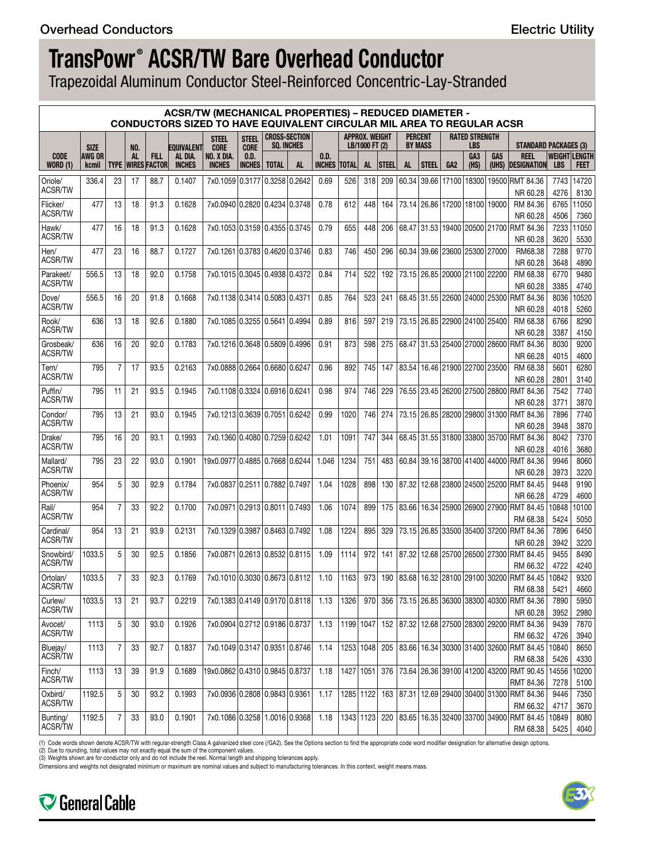Trapezoidal Aluminum Conductor Steel-Reinforced Concentric-Lay-Stranded

|                                |                                       |    |                  |                                         | <b>ACSR/TW (MECHANICAL PROPERTIES) - REDUCED DIAMETER -</b><br><b>CONDUCTORS SIZED TO HAVE EQUIVALENT CIRCULAR MIL AREA TO REGULAR ACSR</b> |                                            |                             |              |                                           |                       |              |                                         |              |           |                                  |                               |                              |                                       |                                                               |               |                                     |
|--------------------------------|---------------------------------------|----|------------------|-----------------------------------------|---------------------------------------------------------------------------------------------------------------------------------------------|--------------------------------------------|-----------------------------|--------------|-------------------------------------------|-----------------------|--------------|-----------------------------------------|--------------|-----------|----------------------------------|-------------------------------|------------------------------|---------------------------------------|---------------------------------------------------------------|---------------|-------------------------------------|
|                                |                                       |    |                  |                                         |                                                                                                                                             | <b>STEEL</b>                               | <b>STEEL</b><br><b>CORE</b> |              | <b>CROSS-SECTION</b><br><b>SO. INCHES</b> |                       |              | <b>APPROX. WEIGHT</b><br>LB/1000 FT (2) |              |           | <b>PERCENT</b><br><b>BY MASS</b> |                               | <b>RATED STRENGTH</b><br>LBS |                                       | <b>STANDARD PACKAGES (3)</b>                                  |               |                                     |
| <b>CODE</b><br><b>WORD (1)</b> | <b>SIZE</b><br>AWG OR<br><b>kcmil</b> |    | NO.<br><b>AL</b> | <b>FILL</b><br><b>TYPE WIRES FACTOR</b> | <b>EQUIVALENT</b><br>al dia.<br><b>INCHES</b>                                                                                               | <b>CORE</b><br>NO. X DIA.<br><b>INCHES</b> | 0.D.<br><b>INCHES</b>       | <b>TOTAL</b> | AL.                                       | 0.D.<br><b>INCHES</b> | <b>TOTAL</b> | AL.                                     | <b>STEEL</b> | <b>AL</b> | STEEL                            | GA <sub>2</sub>               | GA <sub>3</sub><br>(HS)      | GA <sub>5</sub>                       | <b>REEL</b><br>(UHS) DESIGNATION                              | <b>LBS</b>    | <b>WEIGHT LENGTH</b><br><b>FEET</b> |
| Oriole/                        | 336.4                                 | 23 | 17               | 88.7                                    | 0.1407                                                                                                                                      | 7x0.1059 0.3177 0.3258 0.2642              |                             |              |                                           | 0.69                  | 526          | 318                                     | 209          |           |                                  | 60.34 39.66 17100             | 18300                        |                                       | 19500 RMT 84.36                                               | 7743          | 14720                               |
| <b>ACSR/TW</b>                 |                                       |    |                  |                                         |                                                                                                                                             |                                            |                             |              |                                           |                       |              |                                         |              |           |                                  |                               |                              |                                       | NR 60.28                                                      | 4276          | 8130                                |
| Flicker/                       | 477                                   | 13 | 18               | 91.3                                    | 0.1628                                                                                                                                      | 7x0.0940 0.2820 0.4234 0.3748              |                             |              |                                           | 0.78                  | 612          | 448                                     | 164          |           |                                  |                               |                              | 73.14 26.86 17200 18100 19000         | RM 84.36                                                      | 6765          | 11050                               |
| <b>ACSR/TW</b>                 |                                       |    |                  |                                         |                                                                                                                                             |                                            |                             |              |                                           |                       |              |                                         |              |           |                                  |                               |                              |                                       | NR 60.28                                                      | 4506          | 7360                                |
| Hawk/<br><b>ACSR/TW</b>        | 477                                   | 16 | 18               | 91.3                                    | 0.1628                                                                                                                                      | 7x0.1053 0.3159 0.4355 0.3745              |                             |              |                                           | 0.79                  | 655          | 448                                     | 206          |           |                                  |                               |                              |                                       | 68.47 31.53 19400 20500 21700 RMT 84.36<br>NR 60.28           | 7233<br>3620  | 11050<br>5530                       |
| Hen/                           | 477                                   | 23 | 16               | 88.7                                    | 0.1727                                                                                                                                      | 7x0.1261 0.3783 0.4620 0.3746              |                             |              |                                           | 0.83                  | 746          | 450                                     | 296          |           |                                  | 60.34 39.66 23600 25300 27000 |                              |                                       | RM68.38                                                       | 7288          | 9770                                |
| ACSR/TW                        |                                       |    |                  |                                         |                                                                                                                                             |                                            |                             |              |                                           |                       |              |                                         |              |           |                                  |                               |                              |                                       | NR 60.28                                                      | 3648          | 4890                                |
| Parakeet/                      | 556.5                                 | 13 | 18               | 92.0                                    | 0.1758                                                                                                                                      | 7x0.1015 0.3045 0.4938 0.4372              |                             |              |                                           | 0.84                  | 714          | 522                                     | 192          |           |                                  |                               |                              | 73.15 26.85 20000 21100 22200         | RM 68.38                                                      | 6770          | 9480                                |
| <b>ACSR/TW</b>                 |                                       |    |                  |                                         |                                                                                                                                             |                                            |                             |              |                                           |                       |              |                                         |              |           |                                  |                               |                              |                                       | NR 60.28                                                      | 3385          | 4740                                |
| Dove/<br><b>ACSR/TW</b>        | 556.5                                 | 16 | 20               | 91.8                                    | 0.1668                                                                                                                                      | 7x0.1138 0.3414 0.5083 0.4371              |                             |              |                                           | 0.85                  | 764          | 523                                     | 241          |           |                                  |                               |                              |                                       | 68.45 31.55 22600 24000 25300 RMT 84.36                       | 8036          | 10520                               |
| Rook/                          | 636                                   | 13 | 18               | 92.6                                    | 0.1880                                                                                                                                      | 7x0.1085 0.3255 0.5641 0.4994              |                             |              |                                           | 0.89                  | 816          | 597                                     | 219          |           |                                  |                               |                              | 73.15   26.85   22900   24100   25400 | NR 60.28<br>RM 68.38                                          | 4018<br>6766  | 5260<br>8290                        |
| <b>ACSR/TW</b>                 |                                       |    |                  |                                         |                                                                                                                                             |                                            |                             |              |                                           |                       |              |                                         |              |           |                                  |                               |                              |                                       | NR 60.28                                                      | 3387          | 4150                                |
| Grosbeak/                      | 636                                   | 16 | 20               | 92.0                                    | 0.1783                                                                                                                                      | 7x0.1216 0.3648 0.5809 0.4996              |                             |              |                                           | 0.91                  | 873          | 598                                     | 275          |           |                                  |                               |                              |                                       | 68.47 31.53 25400 27000 28600 RMT 84.36                       | 8030          | 9200                                |
| <b>ACSR/TW</b>                 |                                       |    |                  |                                         |                                                                                                                                             |                                            |                             |              |                                           |                       |              |                                         |              |           |                                  |                               |                              |                                       | NR 66.28                                                      | 4015          | 4600                                |
| Tern/                          | 795                                   | 7  | 17               | 93.5                                    | 0.2163                                                                                                                                      | 7x0.0888 0.2664 0.6680 0.6247              |                             |              |                                           | 0.96                  | 892          | 745                                     | 147          |           |                                  |                               |                              | 83.54 16.46 21900 22700 23500         | RM 68.38                                                      | 5601          | 6280                                |
| <b>ACSR/TW</b>                 |                                       |    |                  |                                         |                                                                                                                                             |                                            |                             |              |                                           |                       |              |                                         |              |           |                                  |                               |                              |                                       | NR 60.28                                                      | 2801          | 3140                                |
| Puffin/                        | 795                                   | 11 | 21               | 93.5                                    | 0.1945                                                                                                                                      | 7x0.1108 0.3324 0.6916 0.6241              |                             |              |                                           | 0.98                  | 974          | 746                                     | 229          |           |                                  |                               |                              |                                       | 76.55 23.45 26200 27500 28800 RMT 84.36                       | 7542          | 7740                                |
| <b>ACSR/TW</b>                 |                                       |    |                  |                                         |                                                                                                                                             |                                            |                             |              |                                           |                       |              |                                         |              |           |                                  |                               |                              |                                       | NR 60.28                                                      | 3771          | 3870                                |
| Condor/<br><b>ACSR/TW</b>      | 795                                   | 13 | 21               | 93.0                                    | 0.1945                                                                                                                                      | 7x0.1213 0.3639 0.7051 0.6242              |                             |              |                                           | 0.99                  | 1020         | 746                                     | 274          |           |                                  |                               |                              |                                       | 73.15 26.85 28200 29800 31300 RMT 84.36                       | 7896<br>3948  | 7740                                |
| Drake/                         | 795                                   | 16 | 20               | 93.1                                    | 0.1993                                                                                                                                      | 7x0.1360 0.4080 0.7259 0.6242              |                             |              |                                           | 1.01                  | 1091         | 747                                     | 344          |           |                                  |                               |                              |                                       | NR 60.28<br>68.45 31.55 31800 33800 35700 RMT 84.36           | 8042          | 3870<br>7370                        |
| <b>ACSR/TW</b>                 |                                       |    |                  |                                         |                                                                                                                                             |                                            |                             |              |                                           |                       |              |                                         |              |           |                                  |                               |                              |                                       | NR 60.28                                                      | 4016          | 3680                                |
| Mallard/                       | 795                                   | 23 | 22               | 93.0                                    | 0.1901                                                                                                                                      | 19x0.0977 0.4885 0.7668 0.6244             |                             |              |                                           | 1.046                 | 1234         | 751                                     | 483          |           |                                  |                               |                              |                                       | 60.84 39.16 38700 41400 44000 RMT 84.36                       | 9946          | 8060                                |
| <b>ACSR/TW</b>                 |                                       |    |                  |                                         |                                                                                                                                             |                                            |                             |              |                                           |                       |              |                                         |              |           |                                  |                               |                              |                                       | NR 60.28                                                      | 3973          | 3220                                |
| Phoenix/                       | 954                                   | 5  | 30               | 92.9                                    | 0.1784                                                                                                                                      | 7x0.0837 0.2511 0.7882 0.7497              |                             |              |                                           | 1.04                  | 1028         | 898                                     | 130          | 87.32     |                                  |                               |                              |                                       | 12.68 23800 24500 25200 RMT 84.45                             | 9448          | 9190                                |
| ACSR/TW                        |                                       |    |                  |                                         |                                                                                                                                             |                                            |                             |              |                                           |                       |              |                                         |              |           |                                  |                               |                              |                                       | NR 66.28                                                      | 4729          | 4600                                |
| Rail/<br>ACSR/TW               | 954                                   | 7  | 33               | 92.2                                    | 0.1700                                                                                                                                      | 7x0.0971 0.2913 0.8011 0.7493              |                             |              |                                           | 1.06                  | 1074         | 899                                     | 175          |           |                                  |                               |                              |                                       | 83.66 16.34 25900 26900 27900 RMT 84.45                       | 10848         | 10100                               |
|                                |                                       |    |                  |                                         |                                                                                                                                             |                                            |                             |              |                                           |                       |              |                                         |              |           |                                  |                               |                              |                                       | RM 68.38                                                      | 5424          | 5050                                |
| Cardinal/<br><b>ACSR/TW</b>    | 954                                   | 13 | 21               | 93.9                                    | 0.2131                                                                                                                                      | 7x0.1329 0.3987 0.8463 0.7492              |                             |              |                                           | 1.08                  | 1224         | 895                                     | 329          |           |                                  |                               |                              |                                       | 73.15 26.85 33500 35400 37200 RMT 84.36                       | 7896<br>3942  | 6450<br>3220                        |
| Snowbird/                      | 1033.5                                | 5  | 30               | 92.5                                    | 0.1856                                                                                                                                      | 7x0.0871 0.2613 0.8532 0.8115              |                             |              |                                           | 1.09                  | 1114         | 972                                     | 141          |           |                                  |                               |                              |                                       | NR 60.28<br>87.32   12.68   25700   26500   27300   RMT 84.45 | 9455          | 8490                                |
| ACSR/TW                        |                                       |    |                  |                                         |                                                                                                                                             |                                            |                             |              |                                           |                       |              |                                         |              |           |                                  |                               |                              |                                       | RM 66.32                                                      | 4722          | 4240                                |
| Ortolan/                       | 1033.5                                | 7  | 33               | 92.3                                    | 0.1769                                                                                                                                      | 7x0.1010 0.3030 0.8673 0.8112              |                             |              |                                           | 1.10                  | 1163         | 973                                     | 190          | 83.68     |                                  |                               |                              | 16.32 28100 29100 30200               | RMT 84.45                                                     | 10842         | 9320                                |
| ACSR/TW                        |                                       |    |                  |                                         |                                                                                                                                             |                                            |                             |              |                                           |                       |              |                                         |              |           |                                  |                               |                              |                                       | RM 68.38                                                      | 5421          | 4660                                |
| Curlew/                        | 1033.5                                | 13 | 21               | 93.7                                    | 0.2219                                                                                                                                      | 7x0.1383 0.4149 0.9170 0.8118              |                             |              |                                           | 1.13                  | 1326         | 970                                     | 356          |           |                                  |                               |                              |                                       | 73.15   26.85   36300   38300   40300   RMT 84.36             | 7890          | 5950                                |
| ACSR/TW                        |                                       |    |                  |                                         |                                                                                                                                             |                                            |                             |              |                                           |                       |              |                                         |              |           |                                  |                               |                              |                                       | NR 60.28                                                      | 3952          | 2980                                |
| Avocet/<br>ACSR/TW             | 1113                                  | 5  | 30               | 93.0                                    | 0.1926                                                                                                                                      | 7x0.0904 0.2712 0.9186 0.8737              |                             |              |                                           | 1.13                  |              | 1199 1047                               | 152          |           |                                  |                               |                              |                                       | 87.32 12.68 27500 28300 29200 RMT 84.36                       | 9439          | 7870                                |
|                                |                                       |    |                  |                                         |                                                                                                                                             |                                            |                             |              |                                           |                       |              |                                         |              |           |                                  |                               |                              |                                       | RM 66.32                                                      | 4726          | 3940                                |
| Bluejay/<br><b>ACSR/TW</b>     | 1113                                  | 7  | 33               | 92.7                                    | 0.1837                                                                                                                                      | 7x0.1049 0.3147 0.9351 0.8746              |                             |              |                                           | 1.14                  |              | 1253 1048                               | 205          |           |                                  |                               |                              |                                       | 83.66 16.34 30300 31400 32600 RMT 84.45                       | 10840         | 8650                                |
| Finch/                         | 1113                                  | 13 | 39               | 91.9                                    | 0.1689                                                                                                                                      | 19x0.0862 0.4310 0.9845 0.8737             |                             |              |                                           | 1.18                  | 1427         | 1051                                    | 376          |           |                                  |                               |                              |                                       | RM 68.38<br>73.64 26.36 39100 41200 43200 RMT 90.45           | 5426<br>14556 | 4330<br>10200                       |
| ACSR/TW                        |                                       |    |                  |                                         |                                                                                                                                             |                                            |                             |              |                                           |                       |              |                                         |              |           |                                  |                               |                              |                                       | RMT 84.36                                                     | 7278          | 5100                                |
| Oxbird/                        | 1192.5                                | 5  | 30               | 93.2                                    | 0.1993                                                                                                                                      | 7x0.0936 0.2808 0.9843 0.9361              |                             |              |                                           | 1.17                  |              | 1285 1122                               | 163          |           |                                  |                               |                              |                                       | 87.31   12.69   29400   30400   31300   RMT 84.36             | 9446          | 7350                                |
| ACSR/TW                        |                                       |    |                  |                                         |                                                                                                                                             |                                            |                             |              |                                           |                       |              |                                         |              |           |                                  |                               |                              |                                       | RM 66.32                                                      | 4717          | 3670                                |
| Bunting/                       | 1192.5                                | 7  | 33               | 93.0                                    | 0.1901                                                                                                                                      | 7x0.1086 0.3258 1.0016 0.9368              |                             |              |                                           | 1.18                  |              | 1343 1123 220                           |              |           |                                  |                               |                              |                                       | 83.65   16.35   32400   33700   34900   RMT 84.45             | 10849         | 8080                                |
| ACSR/TW                        |                                       |    |                  |                                         |                                                                                                                                             |                                            |                             |              |                                           |                       |              |                                         |              |           |                                  |                               |                              |                                       | RM 68.38                                                      | 5425          | 4040                                |

(1) Code words shown denote ACSR/TW with regular-strength Class A galvanized steel core (/GA2). See the Options section to find the appropriate code word modifier designation for alternative design options.<br>(2) Due to roun

(3) Weights shown are for conductor only and do not include the reel. Normal length and shipping tolerances apply.

Dimensions and weights not designated minimum or maximum are nominal values and subject to manufacturing tolerances. In this context, weight means mass.



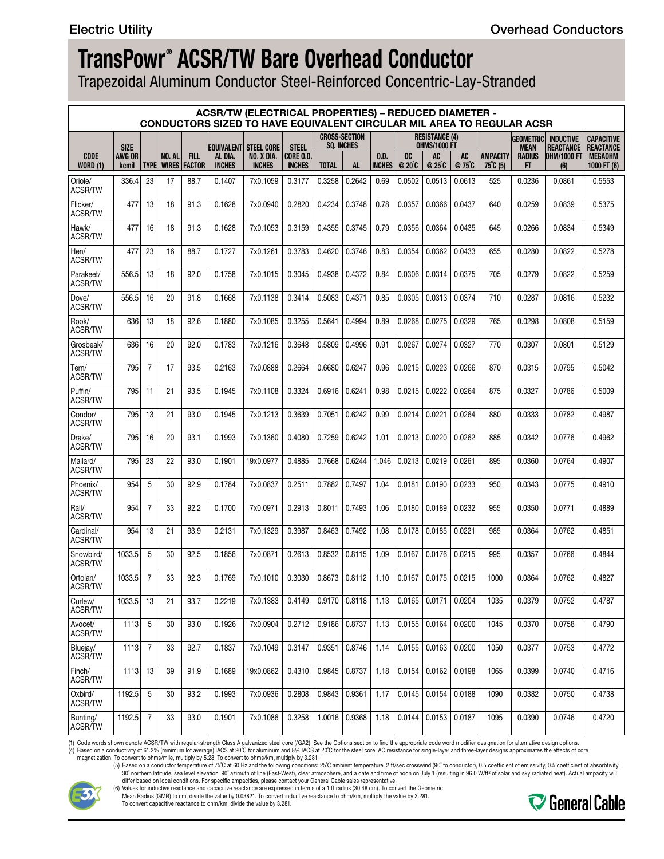Trapezoidal Aluminum Conductor Steel-Reinforced Concentric-Lay-Stranded

|                                |                 |                |               |                                             |                          | <b>ACSR/TW (ELECTRICAL PROPERTIES) - REDUCED DIAMETER -</b><br><b>CONDUCTORS SIZED TO HAVE EQUIVALENT CIRCULAR MIL AREA TO REGULAR ACSR</b> |                           |                   |                      |                       |                     |                                              |              |                             |                     |                                                |                                       |
|--------------------------------|-----------------|----------------|---------------|---------------------------------------------|--------------------------|---------------------------------------------------------------------------------------------------------------------------------------------|---------------------------|-------------------|----------------------|-----------------------|---------------------|----------------------------------------------|--------------|-----------------------------|---------------------|------------------------------------------------|---------------------------------------|
|                                | <b>SIZE</b>     |                |               |                                             |                          | <b>EQUIVALENT STEEL CORE</b>                                                                                                                | <b>STEEL</b>              | <b>SQ. INCHES</b> | <b>CROSS-SECTION</b> |                       |                     | <b>RESISTANCE (4)</b><br><b>OHMS/1000 FT</b> |              |                             | <b>MEAN</b>         | <b>GEOMETRIC INDUCTIVE</b><br><b>REACTANCE</b> | <b>CAPACITIVE</b><br><b>REACTANCE</b> |
| <b>CODE</b><br><b>WORD (1)</b> | AWG OR<br>kcmil |                | <b>NO. AL</b> | <b>FILL</b><br><b>TYPE   WIRES   FACTOR</b> | AL DIA.<br><b>INCHES</b> | NO. X DIA.<br><b>INCHES</b>                                                                                                                 | CORE O.D<br><b>INCHES</b> | <b>TOTAL</b>      | <b>AL</b>            | 0.D.<br><b>INCHES</b> | <b>DC</b><br>@ 20°C | <b>AC</b><br>@ 25°C                          | AC<br>@ 75°C | <b>AMPACITY</b><br>75°C (5) | <b>RADIUS</b><br>FT | <b>OHM/1000 FT</b><br>(6)                      | <b>MEGAOHM</b><br>1000 FT (6)         |
| Oriole/<br><b>ACSR/TW</b>      | 336.4           | 23             | 17            | 88.7                                        | 0.1407                   | 7x0.1059                                                                                                                                    | 0.3177                    | 0.3258            | 0.2642               | 0.69                  | 0.0502              | 0.0513                                       | 0.0613       | 525                         | 0.0236              | 0.0861                                         | 0.5553                                |
| Flicker/<br>ACSR/TW            | 477             | 13             | 18            | 91.3                                        | 0.1628                   | 7x0.0940                                                                                                                                    | 0.2820                    | 0.4234            | 0.3748               | 0.78                  | 0.0357              | 0.0366                                       | 0.0437       | 640                         | 0.0259              | 0.0839                                         | 0.5375                                |
| Hawk/<br><b>ACSR/TW</b>        | 477             | 16             | 18            | 91.3                                        | 0.1628                   | 7x0.1053                                                                                                                                    | 0.3159                    | 0.4355            | 0.3745               | 0.79                  | 0.0356              | 0.0364                                       | 0.0435       | 645                         | 0.0266              | 0.0834                                         | 0.5349                                |
| Hen/<br>ACSR/TW                | 477             | 23             | 16            | 88.7                                        | 0.1727                   | 7x0.1261                                                                                                                                    | 0.3783                    | 0.4620            | 0.3746               | 0.83                  | 0.0354              | 0.0362                                       | 0.0433       | 655                         | 0.0280              | 0.0822                                         | 0.5278                                |
| Parakeet/<br>ACSR/TW           | 556.5           | 13             | 18            | 92.0                                        | 0.1758                   | 7x0.1015                                                                                                                                    | 0.3045                    | 0.4938            | 0.4372               | 0.84                  | 0.0306              | 0.0314                                       | 0.0375       | 705                         | 0.0279              | 0.0822                                         | 0.5259                                |
| Dove/<br>ACSR/TW               | 556.5           | 16             | 20            | 91.8                                        | 0.1668                   | 7x0.1138                                                                                                                                    | 0.3414                    | 0.5083            | 0.4371               | 0.85                  | 0.0305              | 0.0313                                       | 0.0374       | 710                         | 0.0287              | 0.0816                                         | 0.5232                                |
| Rook/<br>ACSR/TW               | 636             | 13             | 18            | 92.6                                        | 0.1880                   | 7x0.1085                                                                                                                                    | 0.3255                    | 0.5641            | 0.4994               | 0.89                  | 0.0268              | 0.0275                                       | 0.0329       | 765                         | 0.0298              | 0.0808                                         | 0.5159                                |
| Grosbeak/<br>ACSR/TW           | 636             | 16             | 20            | 92.0                                        | 0.1783                   | 7x0.1216                                                                                                                                    | 0.3648                    | 0.5809            | 0.4996               | 0.91                  | 0.0267              | 0.0274                                       | 0.0327       | 770                         | 0.0307              | 0.0801                                         | 0.5129                                |
| Tern/<br><b>ACSR/TW</b>        | 795             | $\overline{7}$ | 17            | 93.5                                        | 0.2163                   | 7x0.0888                                                                                                                                    | 0.2664                    | 0.6680            | 0.6247               | 0.96                  | 0.0215              | 0.0223                                       | 0.0266       | 870                         | 0.0315              | 0.0795                                         | 0.5042                                |
| Puffin/<br><b>ACSR/TW</b>      | 795             | 11             | 21            | 93.5                                        | 0.1945                   | 7x0.1108                                                                                                                                    | 0.3324                    | 0.6916            | 0.6241               | 0.98                  | 0.0215              | 0.0222                                       | 0.0264       | 875                         | 0.0327              | 0.0786                                         | 0.5009                                |
| Condor/<br>ACSR/TW             | 795             | 13             | 21            | 93.0                                        | 0.1945                   | 7x0.1213                                                                                                                                    | 0.3639                    | 0.7051            | 0.6242               | 0.99                  | 0.0214              | 0.0221                                       | 0.0264       | 880                         | 0.0333              | 0.0782                                         | 0.4987                                |
| Drake/<br><b>ACSR/TW</b>       | 795             | 16             | 20            | 93.1                                        | 0.1993                   | 7x0.1360                                                                                                                                    | 0.4080                    | 0.7259            | 0.6242               | 1.01                  | 0.0213              | 0.0220                                       | 0.0262       | 885                         | 0.0342              | 0.0776                                         | 0.4962                                |
| Mallard/<br><b>ACSR/TW</b>     | 795             | 23             | 22            | 93.0                                        | 0.1901                   | 19x0.0977                                                                                                                                   | 0.4885                    | 0.7668            | 0.6244               | 1.046                 | 0.0213              | 0.0219                                       | 0.0261       | 895                         | 0.0360              | 0.0764                                         | 0.4907                                |
| Phoenix/<br>ACSR/TW            | 954             | 5              | 30            | 92.9                                        | 0.1784                   | 7x0.0837                                                                                                                                    | 0.2511                    | 0.7882            | 0.7497               | 1.04                  | 0.0181              | 0.0190                                       | 0.0233       | 950                         | 0.0343              | 0.0775                                         | 0.4910                                |
| Rail/<br><b>ACSR/TW</b>        | 954             | $\overline{7}$ | 33            | 92.2                                        | 0.1700                   | 7x0.0971                                                                                                                                    | 0.2913                    | 0.8011            | 0.7493               | 1.06                  | 0.0180              | 0.0189                                       | 0.0232       | 955                         | 0.0350              | 0.0771                                         | 0.4889                                |
| Cardinal/<br>ACSR/TW           | 954             | 13             | 21            | 93.9                                        | 0.2131                   | 7x0.1329                                                                                                                                    | 0.3987                    | 0.8463            | 0.7492               | 1.08                  | 0.0178              | 0.0185                                       | 0.0221       | 985                         | 0.0364              | 0.0762                                         | 0.4851                                |
| Snowbird/<br>ACSR/TW           | 1033.5          | 5              | 30            | 92.5                                        | 0.1856                   | 7x0.0871                                                                                                                                    | 0.2613                    | 0.8532            | 0.8115               | 1.09                  | 0.0167              | 0.0176                                       | 0.0215       | 995                         | 0.0357              | 0.0766                                         | 0.4844                                |
| Ortolan/<br><b>ACSR/TW</b>     | 1033.5          | $\overline{7}$ | 33            | 92.3                                        | 0.1769                   | 7x0.1010                                                                                                                                    | 0.3030                    | 0.8673            | 0.8112               | 1.10                  | 0.0167              | 0.0175                                       | 0.0215       | 1000                        | 0.0364              | 0.0762                                         | 0.4827                                |
| Curlew/<br>ACSR/TW             | 1033.5          | 13             | 21            | 93.7                                        | 0.2219                   | 7x0.1383                                                                                                                                    | 0.4149                    |                   | $0.9170$ 0.8118      | 1.13                  | 0.0165              | 0.0171                                       | 0.0204       | 1035                        | 0.0379              | 0.0752                                         | 0.4787                                |
| Avocet/<br>ACSR/TW             | 1113            | 5              | 30            | 93.0                                        | 0.1926                   | 7x0.0904                                                                                                                                    | 0.2712                    | 0.9186            | 0.8737               | 1.13                  | 0.0155              | 0.0164                                       | 0.0200       | 1045                        | 0.0370              | 0.0758                                         | 0.4790                                |
| Bluejay/<br><b>ACSR/TW</b>     | 1113            | $\overline{7}$ | 33            | 92.7                                        | 0.1837                   | 7x0.1049                                                                                                                                    | 0.3147                    | 0.9351            | 0.8746               | 1.14                  | 0.0155              | 0.0163                                       | 0.0200       | 1050                        | 0.0377              | 0.0753                                         | 0.4772                                |
| Finch/<br>ACSR/TW              | 1113            | 13             | 39            | 91.9                                        | 0.1689                   | 19x0.0862                                                                                                                                   | 0.4310                    | 0.9845            | 0.8737               | 1.18                  | 0.0154              | 0.0162                                       | 0.0198       | 1065                        | 0.0399              | 0.0740                                         | 0.4716                                |
| Oxbird/<br>ACSR/TW             | 1192.5          | 5              | 30            | 93.2                                        | 0.1993                   | 7x0.0936                                                                                                                                    | 0.2808                    | 0.9843            | 0.9361               | 1.17                  | 0.0145              | 0.0154                                       | 0.0188       | 1090                        | 0.0382              | 0.0750                                         | 0.4738                                |
| Bunting/<br>ACSR/TW            | 1192.5          | $\overline{7}$ | 33            | 93.0                                        | 0.1901                   | 7x0.1086                                                                                                                                    | 0.3258                    |                   | $1.0016$ 0.9368      | 1.18                  | 0.0144              | 0.0153                                       | 0.0187       | 1095                        | 0.0390              | 0.0746                                         | 0.4720                                |

(1) Code words shown denote ACSR/TW with regular-strength Class A galvanized steel core (/GA2). See the Options section to find the appropriate code word modifier designation for alternative design options.<br>(4) Based on a



differ based on local conditions. For specific ampacities, please contact your General Cable sales representative.<br>(6) Values for inductive reactance and capacitive reactance are expressed in terms of a 1 ft radius (30.48

Mean Radius (GMR) to cm, divide the value by 0.03821. To convert inductive reactance to ohm/km, multiply the value by 3.281.

To convert capacitive reactance to ohm/km, divide the value by 3.281.

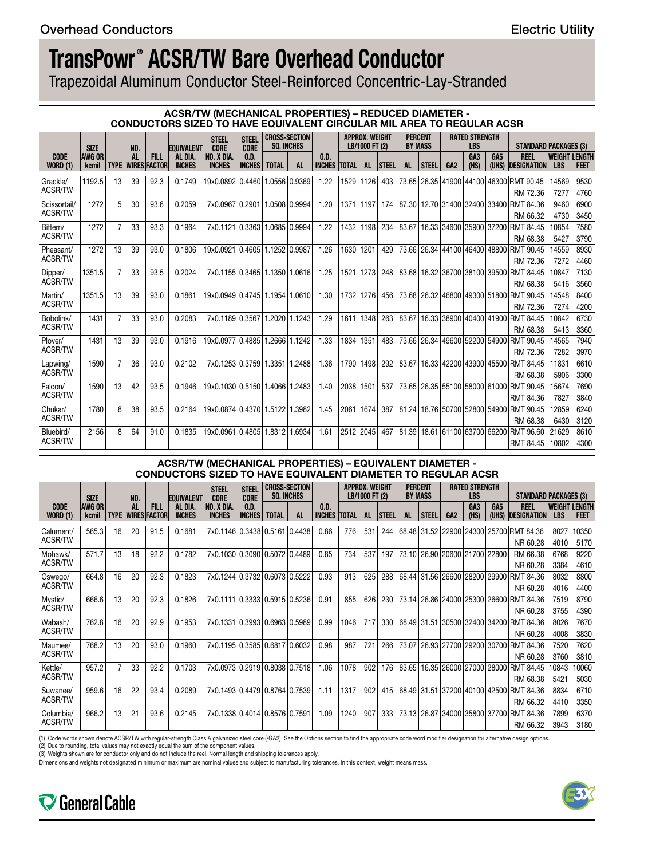Trapezoidal Aluminum Conductor Steel-Reinforced Concentric-Lay-Stranded

|                                |                        |                |            |                                    |                          | <b>ACSR/TW (MECHANICAL PROPERTIES) - REDUCED DIAMETER -</b><br><b>CONDUCTORS SIZED TO HAVE EQUIVALENT CIRCULAR MIL AREA TO REGULAR ACSR</b> |                             |               |                                           |                       |              |                                         |              |           |                                  |                 |                                       |                 |                                                             |                                    |              |
|--------------------------------|------------------------|----------------|------------|------------------------------------|--------------------------|---------------------------------------------------------------------------------------------------------------------------------------------|-----------------------------|---------------|-------------------------------------------|-----------------------|--------------|-----------------------------------------|--------------|-----------|----------------------------------|-----------------|---------------------------------------|-----------------|-------------------------------------------------------------|------------------------------------|--------------|
|                                | <b>SIZE</b>            |                | <b>NO.</b> |                                    | <b>EQUIVALENT</b>        | <b>STEEL</b><br><b>CORE</b>                                                                                                                 | <b>STEEL</b><br><b>CORE</b> |               | <b>CROSS-SECTION</b><br><b>SO. INCHES</b> |                       |              | <b>APPROX. WEIGHT</b><br>LB/1000 FT (2) |              |           | <b>PERCENT</b><br><b>BY MASS</b> |                 | <b>RATED STRENGTH</b><br><b>LBS</b>   |                 | <b>STANDARD PACKAGES (3)</b>                                |                                    |              |
| <b>CODE</b><br><b>WORD (1)</b> | <b>AWG OR</b><br>kcmil | <b>TYPE</b>    | <b>AL</b>  | <b>FILL</b><br><b>WIRES FACTOR</b> | AL DIA.<br><b>INCHES</b> | NO. X DIA.<br><b>INCHES</b>                                                                                                                 | 0.D.<br><b>INCHES</b>       | <b>TOTAL</b>  | AL                                        | 0.D.<br><b>INCHES</b> | <b>TOTAL</b> | AL                                      | <b>STEEL</b> | <b>AL</b> | <b>STEEL</b>                     | GA <sub>2</sub> | GA <sub>3</sub><br>(HS)               | GA <sub>5</sub> | <b>REEL</b><br>(UHS) DESIGNATION                            | <b>WEIGHT LENGTH</b><br><b>LBS</b> | <b>FEET</b>  |
| Grackle/<br><b>ACSR/TW</b>     | 1192.5                 | 13             | 39         | 92.3                               | 0.1749                   | 19x0.0892 0.4460                                                                                                                            |                             |               | 1.0556 0.9369                             | 1.22                  | 1529         | 1126                                    | 403          |           | 73.65 26.35 41900                |                 |                                       | 44100 46300     | <b>RMT 90.45</b><br>RM 72.36                                | 14569<br>7277                      | 9530<br>4760 |
| Scissortail/<br><b>ACSR/TW</b> | 1272                   | 5              | 30         | 93.6                               | 0.2059                   | 7x0.0967 0.2901                                                                                                                             |                             |               | 1.0508 0.9994                             | 1.20                  | 1371         | 1197                                    | 174          |           |                                  |                 | 87.30 12.70 31400 32400 33400         |                 | RMT 84.36<br>RM 66.32                                       | 9460<br>4730                       | 6900<br>3450 |
| Bittern/<br><b>ACSR/TW</b>     | 1272                   | $\overline{7}$ | 33         | 93.3                               | 0.1964                   | 7x0.1121 0.3363                                                                                                                             |                             |               | 1.0685 0.9994                             | 1.22                  | 1432         | 1198                                    | 234          | 83.67     |                                  |                 | 16.33 34600 35900 37200               |                 | RMT 84.45<br>RM 68.38                                       | 10854<br>5427                      | 7580<br>3790 |
| Pheasant/<br><b>ACSR/TW</b>    | 1272                   | 13             | 39         | 93.0                               | 0.1806                   | 19x0.0921                                                                                                                                   | 0.4605                      |               | 1.1252 0.9987                             | 1.26                  | 1630         | 1201                                    | 429          |           |                                  |                 | 73.66 26.34 44100 46400 48800         |                 | <b>RMT 90.45</b><br>RM 72.36                                | 14559<br>7272                      | 8930<br>4460 |
| Dipper/<br>ACSR/TW             | 1351.5                 | $\overline{7}$ | 33         | 93.5                               | 0.2024                   | 7x0.1155 0.3465                                                                                                                             |                             |               | 1.1350 1.0616                             | 1.25                  | 1521         | 1273                                    | 248          | 83.68     |                                  |                 | 16.32 36700 38100 39500               |                 | <b>RMT 84.45</b><br>RM 68.38                                | 10847<br>5416                      | 7130<br>3560 |
| Martin/<br><b>ACSR/TW</b>      | 1351.5                 | 13             | 39         | 93.0                               | 0.1861                   | 19x0.0949 0.4745                                                                                                                            |                             |               | 1.1954 1.0610                             | 1.30                  | 1732         | 1276                                    | 456          |           |                                  |                 |                                       |                 | 73.68 26.32 46800 49300 51800 RMT 90.45<br>RM 72.36         | 14548<br>7274                      | 8400<br>4200 |
| Bobolink/<br><b>ACSR/TW</b>    | 1431                   | $\overline{7}$ | 33         | 93.0                               | 0.2083                   | 7x0.1189 0.3567                                                                                                                             |                             |               | 1.2020 1.1243                             | 1.29                  | 1611         | 1348                                    | 263          |           |                                  |                 | 83.67   16.33   38900   40400   41900 |                 | RMT 84.45<br>RM 68.38                                       | 10842<br>5413                      | 6730<br>3360 |
| Plover/<br>ACSR/TW             | 1431                   | 13             | 39         | 93.0                               | 0.1916                   | 19x0.0977 0.4885                                                                                                                            |                             |               | 1.2666 1.1242                             | 1.33                  | 1834         | 1351                                    | 483          |           |                                  |                 | 73.66 26.34 49600 52200 54900         |                 | <b>RMT 90.45</b><br>RM 72.36                                | 14565<br>7282                      | 7940<br>3970 |
| Lapwing/<br>ACSR/TW            | 1590                   | $\overline{7}$ | 36         | 93.0                               | 0.2102                   | 7x0.1253 0.3759                                                                                                                             |                             |               | 1.3351 1.2488                             | 1.36                  | 1790         | 1498                                    | 292          |           |                                  |                 | 83.67   16.33   42200   43900   45500 |                 | <b>RMT 84.45</b><br>RM 68.38                                | 11831<br>5906                      | 6610<br>3300 |
| Falcon/<br>ACSR/TW             | 1590                   | 13             | 42         | 93.5                               | 0.1946                   | 19x0.1030 0.5150 1.4066 1.2483                                                                                                              |                             |               |                                           | 1.40                  | 2038         | 1501                                    | 537          |           |                                  |                 |                                       |                 | 73.65 26.35 55100 58000 61000 RMT 90.45<br><b>RMT 84.36</b> | 15674<br>7827                      | 7690<br>3840 |
| Chukar/<br><b>ACSR/TW</b>      | 1780                   | 8              | 38         | 93.5                               | 0.2164                   | 19x0.0874 0.4370                                                                                                                            |                             | 1.5122 1.3982 |                                           | 1.45                  | 2061         | 1674                                    | 387          |           |                                  |                 | 81.24   18.76   50700   52800   54900 |                 | <b>RMT 90.45</b><br>RM 68.38                                | 12859<br>6430                      | 6240<br>3120 |
| Bluebird/<br><b>ACSR/TW</b>    | 2156                   | 8              | 64         | 91.0                               | 0.1835                   | 19x0.0961 0.4805                                                                                                                            |                             | 1.83121       | .6934                                     | 1.61                  |              | 2512 2045                               | 467          |           |                                  |                 | 81.39 18.61 61100 63700 66200         |                 | RMT 96.60<br><b>RMT 84.45</b>                               | 21629<br>10802                     | 8610<br>4300 |

### **ACSR/TW (MECHANICAL PROPERTIES) – EQUIVALENT DIAMETER - CONDUCTORS SIZED TO HAVE EQUIVALENT DIAMETER TO REGULAR ACSR**

|                                |                               |    |           |                                           |                          | <b>STEEL</b>                  | <b>STEEL</b>          |              | <b>CROSS-SECTION</b> |                               | APPROX. WEIGHT<br><b>PERCENT</b><br><b>BY MASS</b><br>LB/1000 FT (2) |           |              |       | <b>RATED STRENGTH</b> |                 |                                       |                 |                                         |                             |              |
|--------------------------------|-------------------------------|----|-----------|-------------------------------------------|--------------------------|-------------------------------|-----------------------|--------------|----------------------|-------------------------------|----------------------------------------------------------------------|-----------|--------------|-------|-----------------------|-----------------|---------------------------------------|-----------------|-----------------------------------------|-----------------------------|--------------|
|                                | <b>SIZE</b>                   |    | NO.       |                                           | <b>EQUIVALENT</b>        | <b>CORE</b>                   | <b>CORE</b>           |              | <b>SO. INCHES</b>    |                               |                                                                      |           |              |       |                       |                 | <b>LBS</b>                            |                 | <b>STANDARD PACKAGES (3)</b>            |                             |              |
| <b>CODE</b><br><b>WORD (1)</b> | <b>AWG OR</b><br><b>kcmil</b> |    | <b>AL</b> | <b>FILL</b><br><b>TYPE   WIRES FACTOR</b> | AL DIA.<br><b>INCHES</b> | NO. X DIA.<br><b>INCHES</b>   | 0.D.<br><b>INCHES</b> | <b>TOTAL</b> | AL                   | 0.D.<br><b>INCHES  TOTAL </b> |                                                                      | <b>AL</b> | <b>STEEL</b> | AL    | <b>STEEL</b>          | GA <sub>2</sub> | GA <sub>3</sub><br>(HS)               | GA <sub>5</sub> | <b>REEL</b><br>(UHS) DESIGNATION        | WEIGHT LENGTH<br><b>LBS</b> | FEET         |
| Calument/<br>ACSR/TW           | 565.3                         | 16 | 20        | 91.5                                      | 0.1681                   | 7x0.1146 0.3438 0.5161 0.4438 |                       |              |                      | 0.86                          | 776                                                                  | 531       | 244          |       |                       |                 |                                       |                 | 68.48 31.52 22900 24300 25700 RMT 84.36 | 8027                        | 10350        |
| Mohawk/                        | 571.7                         | 13 | 18        | 92.2                                      | 0.1782                   | 7x0.1030 0.3090 0.5072 0.4489 |                       |              |                      | 0.85                          | 734                                                                  | 537       | 197          |       |                       |                 | 73.10 26.90 20600 21700 22800         |                 | NR 60.28<br>RM 66.38                    | 4010<br>6768                | 5170<br>9220 |
| ACSR/TW                        |                               |    |           |                                           |                          |                               |                       |              |                      |                               |                                                                      |           |              |       |                       |                 |                                       |                 | NR 60.28                                | 3384                        | 4610         |
| Oswego/                        | 664.8                         | 16 | 20        | 92.3                                      | 0.1823                   | 7x0.1244 0.3732 0.6073 0.5222 |                       |              |                      | 0.93                          | 913                                                                  | 625       | 288          |       |                       |                 | 68.44 31.56 26600 28200 29900         |                 | RMT 84.36                               | 8032                        | 8800         |
| ACSR/TW                        |                               |    |           |                                           |                          |                               |                       |              |                      |                               |                                                                      |           |              |       |                       |                 |                                       |                 | NR 60.28                                | 4016                        | 4400         |
| Mystic/                        | 666.6                         | 13 | 20        | 92.3                                      | 0.1826                   | 7x0.1111 0.3333 0.5915 0.5236 |                       |              |                      | 0.91                          | 855                                                                  | 626       | 230          |       |                       |                 | 73.14   26.86   24000   25300   26600 |                 | <b>RMT 84.36</b>                        | 7519                        | 8790         |
| ACSR/TW                        |                               |    |           |                                           |                          |                               |                       |              |                      |                               |                                                                      |           |              |       |                       |                 |                                       |                 | NR 60.28                                | 3755                        | 4390         |
| Wabash/                        | 762.8                         | 16 | 20        | 92.9                                      | 0.1953                   | 7x0.1331 0.3993 0.6963 0.5989 |                       |              |                      | 0.99                          | 1046                                                                 | 717       | 330          |       |                       |                 | 68.49 31.51 30500 32400 34200         |                 | RMT 84.36                               | 8026                        | 7670         |
| ACSR/TW                        |                               |    |           |                                           |                          |                               |                       |              |                      |                               |                                                                      |           |              |       |                       |                 |                                       |                 | NR 60.28                                | 4008                        | 3830         |
| Maumee/                        | 768.2                         | 13 | 20        | 93.0                                      | 0.1960                   | 7x0.1195 0.3585 0.6817 0.6032 |                       |              |                      | 0.98                          | 987                                                                  | 721       | 266          |       |                       |                 |                                       |                 | 73.07 26.93 27700 29200 30700 RMT 84.36 | 7520                        | 7620         |
| ACSR/TW                        |                               |    |           |                                           |                          |                               |                       |              |                      |                               |                                                                      |           |              |       |                       |                 |                                       |                 | NR 60.28                                | 3760                        | 3810         |
| Kettle/                        | 957.2                         |    | 33        | 92.2                                      | 0.1703                   | 7x0.0973 0.2919 0.8038 0.7518 |                       |              |                      | 1.06                          | 1078                                                                 | 902       | 176          | 83.65 |                       |                 | 16.35 26000 27000 28000               |                 | RMT 84.45                               | 10843                       | 10060        |
| ACSR/TW                        |                               |    |           |                                           |                          |                               |                       |              |                      |                               |                                                                      |           |              |       |                       |                 |                                       |                 | RM 68.38                                | 5421                        | 5030         |
| Suwanee/                       | 959.6                         | 16 | 22        | 93.4                                      | 0.2089                   | 7x0.1493 0.4479 0.8764 0.7539 |                       |              |                      | 1.11                          | 1317                                                                 | 902       | 415          |       |                       |                 | 68.49 31.51 37200 40100 42500         |                 | <b>RMT 84.36</b>                        | 8834                        | 6710         |
| ACSR/TW                        |                               |    |           |                                           |                          |                               |                       |              |                      |                               |                                                                      |           |              |       |                       |                 |                                       |                 | RM 66.32                                | 4410                        | 3350         |
| Columbia/                      | 966.2                         | 13 | 21        | 93.6                                      | 0.2145                   | 7x0.1338 0.4014 0.8576 0.7591 |                       |              |                      | 1.09                          | 1240                                                                 | 907       | 333          |       |                       |                 | 73.13   26.87   34000   35800   37700 |                 | RMT 84.36                               | 7899                        | 6370         |
| ACSR/TW                        |                               |    |           |                                           |                          |                               |                       |              |                      |                               |                                                                      |           |              |       |                       |                 |                                       |                 | RM 66.32                                | 3943                        | 3180         |

(1) Code words shown denote ACSR/TW with regular-strength Class A galvanized steel core (/GA2). See the Options section to find the appropriate code word modifier designation for alternative design options.

(2) Due to rounding, total values may not exactly equal the sum of the component values. (3) Weights shown are for conductor only and do not include the reel. Normal length and shipping tolerances apply.

Dimensions and weights not designated minimum or maximum are nominal values and subject to manufacturing tolerances. In this context, weight means mass.



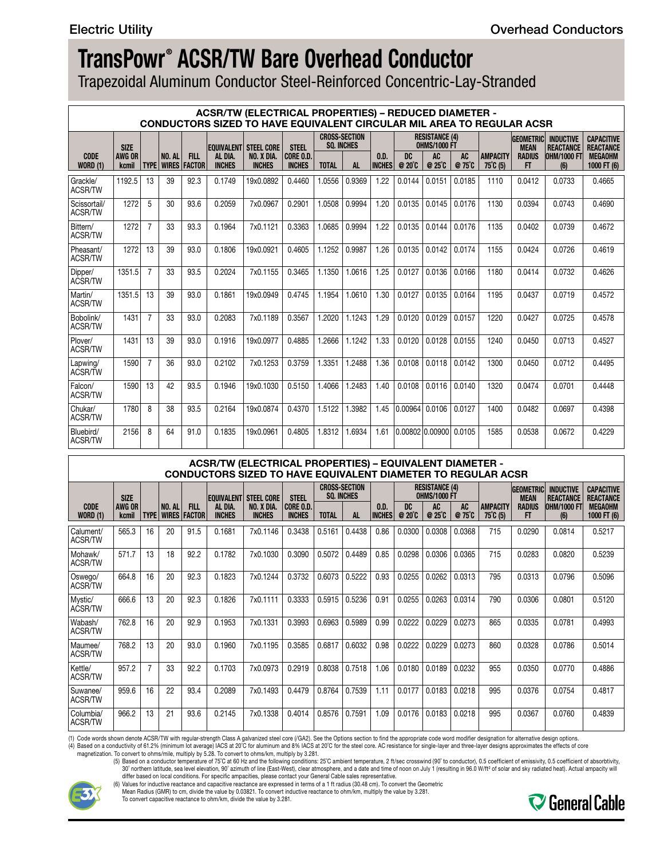Trapezoidal Aluminum Conductor Steel-Reinforced Concentric-Lay-Stranded

|                                |                 |                |                        |                              |                          | <b>ACSR/TW (ELECTRICAL PROPERTIES) – REDUCED DIAMETER -</b><br>CONDUCTORS SIZED TO HAVE EQUIVALENT CIRCULAR MIL AREA TO REGULAR ACSR |                            |                                  |                                      |                                       |                      |                            |                     |                                       |                     |                           |                               |
|--------------------------------|-----------------|----------------|------------------------|------------------------------|--------------------------|--------------------------------------------------------------------------------------------------------------------------------------|----------------------------|----------------------------------|--------------------------------------|---------------------------------------|----------------------|----------------------------|---------------------|---------------------------------------|---------------------|---------------------------|-------------------------------|
|                                | <b>SIZE</b>     |                |                        |                              |                          | <b>EQUIVALENT STEEL CORE</b>                                                                                                         |                            | <b>GEOMETRICI</b><br><b>MEAN</b> | <b>INDUCTIVE</b><br><b>REACTANCE</b> | <b>CAPACITIVE</b><br><b>REACTANCE</b> |                      |                            |                     |                                       |                     |                           |                               |
| <b>CODE</b><br><b>WORD (1)</b> | AWG OR<br>kcmil | <b>TYPE</b>    | NO. AL<br><b>WIRES</b> | <b>FILL</b><br><b>FACTOR</b> | AL DIA.<br><b>INCHES</b> | NO. X DIA.<br><b>INCHES</b>                                                                                                          | CORE O.D.<br><b>INCHES</b> | <b>TOTAL</b>                     | <b>AL</b>                            | 0.D.<br><b>INCHES</b>                 | DC<br>$@20^{\circ}C$ | <b>AC</b><br>$@25^\circ C$ | <b>AC</b><br>@ 75°C | <b>AMPACITY</b><br>$75^{\circ}$ C (5) | <b>RADIUS</b><br>FT | <b>OHM/1000 FT</b><br>(6) | <b>MEGAOHM</b><br>1000 FT (6) |
| Grackle/<br><b>ACSR/TW</b>     | 1192.5          | 13             | 39                     | 92.3                         | 0.1749                   | 19x0.0892                                                                                                                            | 0.4460                     | 1.0556                           | 0.9369                               | 1.22                                  | 0.0144               | 0.0151                     | 0.0185              | 1110                                  | 0.0412              | 0.0733                    | 0.4665                        |
| Scissortail/<br><b>ACSR/TW</b> | 1272            | 5              | 30                     | 93.6                         | 0.2059                   | 7x0.0967                                                                                                                             | 0.2901                     | 1.0508                           | 0.9994                               | 1.20                                  | 0.0135               | 0.0145                     | 0.0176              | 1130                                  | 0.0394              | 0.0743                    | 0.4690                        |
| Bittern/<br><b>ACSR/TW</b>     | 1272            | $\overline{7}$ | 33                     | 93.3                         | 0.1964                   | 7x0.1121                                                                                                                             | 0.3363                     | 1.0685                           | 0.9994                               | 1.22                                  | 0.0135               | 0.0144                     | 0.0176              | 1135                                  | 0.0402              | 0.0739                    | 0.4672                        |
| Pheasant/<br><b>ACSR/TW</b>    | 1272            | 13             | 39                     | 93.0                         | 0.1806                   | 19x0.0921                                                                                                                            | 0.4605                     | 1.1252                           | 0.9987                               | 1.26                                  | 0.0135               | 0.0142                     | 0.0174              | 1155                                  | 0.0424              | 0.0726                    | 0.4619                        |
| Dipper/<br>ACSR/TW             | 1351.5          | $\overline{7}$ | 33                     | 93.5                         | 0.2024                   | 7x0.1155                                                                                                                             | 0.3465                     | 1.1350                           | 1.0616                               | 1.25                                  | 0.0127               | 0.0136                     | 0.0166              | 1180                                  | 0.0414              | 0.0732                    | 0.4626                        |
| Martin/<br><b>ACSR/TW</b>      | 1351.5          | 13             | 39                     | 93.0                         | 0.1861                   | 19x0.0949                                                                                                                            | 0.4745                     | 1.1954                           | 1.0610                               | 1.30                                  | 0.0127               | 0.0135                     | 0.0164              | 1195                                  | 0.0437              | 0.0719                    | 0.4572                        |
| Bobolink/<br><b>ACSR/TW</b>    | 1431            | $\overline{7}$ | 33                     | 93.0                         | 0.2083                   | 7x0.1189                                                                                                                             | 0.3567                     | 1.2020                           | 1.1243                               | 1.29                                  | 0.0120               | 0.0129                     | 0.0157              | 1220                                  | 0.0427              | 0.0725                    | 0.4578                        |
| Plover/<br><b>ACSR/TW</b>      | 1431            | 13             | 39                     | 93.0                         | 0.1916                   | 19x0.0977                                                                                                                            | 0.4885                     | 1.2666                           | 1.1242                               | 1.33                                  | 0.0120               | 0.0128                     | 0.0155              | 1240                                  | 0.0450              | 0.0713                    | 0.4527                        |
| Lapwing/<br>ACSR/TW            | 1590            | $\overline{7}$ | 36                     | 93.0                         | 0.2102                   | 7x0.1253                                                                                                                             | 0.3759                     | 1.3351                           | 1.2488                               | 1.36                                  | 0.0108               | 0.0118                     | 0.0142              | 1300                                  | 0.0450              | 0.0712                    | 0.4495                        |
| Falcon/<br><b>ACSR/TW</b>      | 1590            | 13             | 42                     | 93.5                         | 0.1946                   | 19x0.1030                                                                                                                            | 0.5150                     | 1.4066                           | 1.2483                               | 1.40                                  | 0.0108               | 0.0116                     | 0.0140              | 1320                                  | 0.0474              | 0.0701                    | 0.4448                        |
| Chukar/<br><b>ACSR/TW</b>      | 1780            | 8              | 38                     | 93.5                         | 0.2164                   | 19x0.0874                                                                                                                            | 0.4370                     | 1.5122                           | 1.3982                               | 1.45                                  | 0.00964              | 0.0106                     | 0.0127              | 1400                                  | 0.0482              | 0.0697                    | 0.4398                        |
| Bluebird/<br><b>ACSR/TW</b>    | 2156            | 8              | 64                     | 91.0                         | 0.1835                   | 19x0.0961                                                                                                                            | 0.4805                     | 1.8312                           | .6934                                | 1.61                                  |                      | 0.00802 0.00900            | 0.0105              | 1585                                  | 0.0538              | 0.0672                    | 0.4229                        |

### **ACSR/TW (ELECTRICAL PROPERTIES) – EQUIVALENT DIAMETER - CONDUCTORS SIZED TO HAVE EQUIVALENT DIAMETER TO REGULAR ACSR**

|                                | <b>SIZE</b>     |             |                        |                               | <b>EQUIVALENT</b>        | <b>STEEL CORE</b>           | <b>STEEL</b>               | <b>SO. INCHES</b> | <b>CROSS-SECTION</b> |                       |                     | <b>RESISTANCE (4)</b><br><b>OHMS/1000 FT</b> |                     |                                       | <b>GEOMETRIC</b><br><b>MEAN</b> | <b>INDUCTIVE</b><br><b>REACTANCE</b> | <b>CAPACITIVE</b><br>REACTANCE |
|--------------------------------|-----------------|-------------|------------------------|-------------------------------|--------------------------|-----------------------------|----------------------------|-------------------|----------------------|-----------------------|---------------------|----------------------------------------------|---------------------|---------------------------------------|---------------------------------|--------------------------------------|--------------------------------|
| <b>CODE</b><br><b>WORD (1)</b> | AWG OR<br>kcmil | <b>TYPE</b> | NO. AL<br><b>WIRES</b> | <b>FILL</b><br><b>IFACTOR</b> | AL DIA.<br><b>INCHES</b> | NO. X DIA.<br><b>INCHES</b> | CORE O.D.<br><b>INCHES</b> | <b>TOTAL</b>      | <b>AL</b>            | 0.D.<br><b>INCHES</b> | <b>DC</b><br>@ 20°C | <b>AC</b><br>$@25^\circ C$                   | AC<br>$@75^\circ C$ | <b>AMPACITY</b><br>$75^{\circ}$ C (5) | <b>RADIUS</b><br>FT             | <b>OHM/1000 FT</b><br>(6)            | <b>MEGAOHM</b><br>1000 FT (6)  |
| Calument/<br>ACSR/TW           | 565.3           | 16          | 20                     | 91.5                          | 0.1681                   | 7x0.1146                    | 0.3438                     | 0.5161            | 0.4438               | 0.86                  | 0.0300              | 0.0308                                       | 0.0368              | 715                                   | 0.0290                          | 0.0814                               | 0.5217                         |
| Mohawk/<br>ACSR/TW             | 571.7           | 13          | 18                     | 92.2                          | 0.1782                   | 7x0.1030                    | 0.3090                     | 0.5072            | 0.4489               | 0.85                  | 0.0298              | 0.0306                                       | 0.0365              | 715                                   | 0.0283                          | 0.0820                               | 0.5239                         |
| Oswego/<br><b>ACSR/TW</b>      | 664.8           | 16          | 20                     | 92.3                          | 0.1823                   | 7x0.1244                    | 0.3732                     | 0.6073            | 0.5222               | 0.93                  | 0.0255              | 0.0262                                       | 0.0313              | 795                                   | 0.0313                          | 0.0796                               | 0.5096                         |
| Mystic/<br>ACSR/TW             | 666.6           | 13          | 20                     | 92.3                          | 0.1826                   | 7x0.1111                    | 0.3333                     | 0.5915            | 0.5236               | 0.91                  | 0.0255              | 0.0263                                       | 0.0314              | 790                                   | 0.0306                          | 0.0801                               | 0.5120                         |
| Wabash/<br><b>ACSR/TW</b>      | 762.8           | 16          | 20                     | 92.9                          | 0.1953                   | 7x0.1331                    | 0.3993                     | 0.6963            | 0.5989               | 0.99                  | 0.0222              | 0.0229                                       | 0.0273              | 865                                   | 0.0335                          | 0.0781                               | 0.4993                         |
| Maumee/<br><b>ACSR/TW</b>      | 768.2           | 13          | 20                     | 93.0                          | 0.1960                   | 7x0.1195                    | 0.3585                     | 0.6817            | 0.6032               | 0.98                  | 0.0222              | 0.0229                                       | 0.0273              | 860                                   | 0.0328                          | 0.0786                               | 0.5014                         |
| Kettle/<br><b>ACSR/TW</b>      | 957.2           | 7           | 33                     | 92.2                          | 0.1703                   | 7x0.0973                    | 0.2919                     | 0.8038            | 0.7518               | 0.06                  | 0.0180              | 0.0189                                       | 0.0232              | 955                                   | 0.0350                          | 0.0770                               | 0.4886                         |
| Suwanee/<br>ACSR/TW            | 959.6           | 16          | 22                     | 93.4                          | 0.2089                   | 7x0.1493                    | 0.4479                     | 0.8764            | 0.7539               | 1.11                  | 0.0177              | 0.0183                                       | 0.0218              | 995                                   | 0.0376                          | 0.0754                               | 0.4817                         |
| Columbia/<br>ACSR/TW           | 966.2           | 13          | 21                     | 93.6                          | 0.2145                   | 7x0.1338                    | 0.4014                     | 0.8576            | 0.7591               | 1.09                  | 0.0176              | 0.0183                                       | 0.0218              | 995                                   | 0.0367                          | 0.0760                               | 0.4839                         |

(1) Code words shown denote ACSR/TW with regular-strength Class A galvanized steel core (/GA2). See the Options section to find the appropriate code word modifier designation for alternative design options. (4) Based on a conductivity of 61.2% (minimum lot average) IACS at 20°C for aluminum and 8% IACS at 20°C for the steel core. AC resistance for single-layer and three-layer designs approximates the effects of core<br>magnetiza

(5) Based on a conductor temperature of 75˚C at 60 Hz and the following conditions: 25˚C ambient temperature, 2 ft/sec crosswind (90˚ to conductor), 0.5 coefficient of emissivity, 0.5 coefficient of absorbtivity, 30° northern latitude, sea level elevation, 90° azimuth of line (East-West), clear atmosphere, and a date and time of noon on July 1 (resulting in 96.0 W/ft? of solar and sky radiated heat). Actual ampacity will<br>differ bas

(6) Values for inductive reactance and capacitive reactance are expressed in terms of a 1 ft radius (30.48 cm). To convert the Geometric Mean Radius (GMR) to cm, divide the value by 0.03821. To convert inductive reactance to ohm/km, multiply the value by 3.281.

To convert capacitive reactance to ohm/km, divide the value by 3.281.

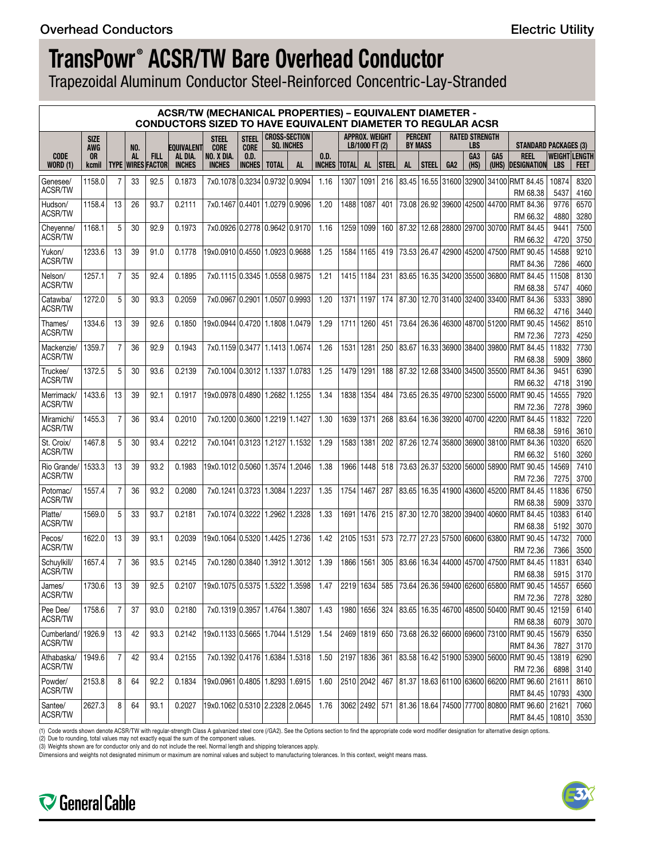Trapezoidal Aluminum Conductor Steel-Reinforced Concentric-Lay-Stranded

|                               |                    |                |                  |                                          |                                               | <b>ACSR/TW (MECHANICAL PROPERTIES) - EQUIVALENT DIAMETER -</b><br><b>CONDUCTORS SIZED TO HAVE EQUIVALENT DIAMETER TO REGULAR ACSR</b> |                                      |              |                                           |                       |              |                                  |        |           |                                  |                 |                                     |                                       |                                                                   |                                    |              |
|-------------------------------|--------------------|----------------|------------------|------------------------------------------|-----------------------------------------------|---------------------------------------------------------------------------------------------------------------------------------------|--------------------------------------|--------------|-------------------------------------------|-----------------------|--------------|----------------------------------|--------|-----------|----------------------------------|-----------------|-------------------------------------|---------------------------------------|-------------------------------------------------------------------|------------------------------------|--------------|
|                               | <b>SIZE</b>        |                |                  |                                          |                                               | <b>STEEL</b>                                                                                                                          | <b>STEEL</b>                         |              | <b>CROSS-SECTION</b><br><b>SO. INCHES</b> |                       |              | APPROX. WEIGHT<br>LB/1000 FT (2) |        |           | <b>PERCENT</b><br><b>BY MASS</b> |                 | <b>RATED STRENGTH</b><br><b>LBS</b> |                                       | <b>STANDARD PACKAGES (3)</b>                                      |                                    |              |
| <b>CODE</b><br>WORD (1)       | AWG<br>0R<br>kcmil |                | NO.<br><b>AL</b> | <b>FILL</b><br><b>TYPE IWIRES FACTOR</b> | <b>EQUIVALENT</b><br>al dia.<br><b>INCHES</b> | <b>CORE</b><br>NO. X DIA.<br><b>INCHES</b>                                                                                            | <b>CORE</b><br>0.D.<br><b>INCHES</b> | <b>TOTAL</b> | <b>AL</b>                                 | 0.D.<br><b>INCHES</b> | <b>TOTAL</b> | AL                               | Isteel | <b>AL</b> | <b>STEEL</b>                     | GA <sub>2</sub> | GA <sub>3</sub><br>(HS)             | GA <sub>5</sub>                       | <b>REEL</b><br>(UHS) <b>DESIGNATION</b>                           | <b>WEIGHT LENGTH</b><br><b>LBS</b> | <b>FEET</b>  |
| Genesee/                      | 1158.0             | 7              | 33               | 92.5                                     | 0.1873                                        | 7x0.1078 0.3234 0.9732 0.9094                                                                                                         |                                      |              |                                           | 1.16                  | 1307         | 1091                             | 216    |           |                                  |                 |                                     |                                       | 83.45 16.55 31600 32900 34100 RMT 84.45                           | 10874                              | 8320         |
| <b>ACSR/TW</b>                |                    |                |                  |                                          |                                               |                                                                                                                                       |                                      |              |                                           |                       |              |                                  |        |           |                                  |                 |                                     |                                       | RM 68.38                                                          | 5437                               | 4160         |
| Hudson/                       | 1158.4             | 13             | 26               | 93.7                                     | 0.2111                                        | 7x0.1467 0.4401                                                                                                                       |                                      |              | 1.0279 0.9096                             | 1.20                  |              | 1488 1087                        | 401    |           | 73.08 26.92                      |                 |                                     |                                       | 39600 42500 44700 RMT 84.36                                       | 9776                               | 6570         |
| <b>ACSR/TW</b>                |                    |                |                  |                                          |                                               |                                                                                                                                       |                                      |              |                                           |                       |              |                                  |        |           |                                  |                 |                                     |                                       | RM 66.32                                                          | 4880                               | 3280         |
| Cheyenne/<br><b>ACSR/TW</b>   | 1168.1             | 5              | 30               | 92.9                                     | 0.1973                                        | 7x0.0926 0.2778 0.9642 0.9170                                                                                                         |                                      |              |                                           | 1.16                  |              | 1259 1099                        | 160    |           |                                  |                 |                                     |                                       | 87.32 12.68 28800 29700 30700 RMT 84.45<br>RM 66.32               | 9441<br>4720                       | 7500<br>3750 |
| Yukon/                        | 1233.6             | 13             | 39               | 91.0                                     | 0.1778                                        | 19x0.091010.455011.092310.9688                                                                                                        |                                      |              |                                           | 1.25                  |              | 1584   1165                      | 419    |           | 73.53 26.47                      |                 |                                     | 42900 45200 47500                     | <b>RMT 90.45</b>                                                  | 14588                              | 9210         |
| <b>ACSR/TW</b>                |                    |                |                  |                                          |                                               |                                                                                                                                       |                                      |              |                                           |                       |              |                                  |        |           |                                  |                 |                                     |                                       | RMT 84.36                                                         | 7286                               | 4600         |
| Nelson/                       | 1257.1             | 7              | 35               | 92.4                                     | 0.1895                                        | 7x0.1115 0.3345 1.0558 0.9875                                                                                                         |                                      |              |                                           | 1.21                  |              | 1415 1184                        | 231    |           |                                  |                 |                                     |                                       | 83.65   16.35   34200   35500   36800   RMT 84.45                 | 11508                              | 8130         |
| <b>ACSR/TW</b>                |                    |                |                  |                                          |                                               |                                                                                                                                       |                                      |              |                                           |                       |              |                                  |        |           |                                  |                 |                                     |                                       | RM 68.38                                                          | 5747                               | 4060         |
| Catawba/<br><b>ACSR/TW</b>    | 1272.0             | 5              | 30               | 93.3                                     | 0.2059                                        | 7x0.0967 0.2901 1.0507 0.9993                                                                                                         |                                      |              |                                           | 1.20                  |              | 1371 1197                        | 174    |           |                                  |                 |                                     |                                       | 87.30 12.70 31400 32400 33400 RMT 84.36                           | 5333                               | 3890         |
| Thames/                       | 1334.6             | 13             | 39               | 92.6                                     | 0.1850                                        | 19x0.0944 0.4720 1.1808 1.0479                                                                                                        |                                      |              |                                           | 1.29                  | 1711         | 1260                             | 451    |           |                                  |                 |                                     |                                       | RM 66.32<br>73.64 26.36 46300 48700 51200 RMT 90.45               | 4716<br>14562                      | 3440<br>8510 |
| ACSR/TW                       |                    |                |                  |                                          |                                               |                                                                                                                                       |                                      |              |                                           |                       |              |                                  |        |           |                                  |                 |                                     |                                       | RM 72.36                                                          | 7273                               | 4250         |
| Mackenzie/                    | 1359.7             | 7              | 36               | 92.9                                     | 0.1943                                        | 7x0.1159 0.3477   1.1413   1.0674                                                                                                     |                                      |              |                                           | 1.26                  | 1531         | 1281                             | 250    |           |                                  |                 |                                     | 83.67   16.33   36900   38400   39800 | <b>RMT 84.45</b>                                                  | 11832                              | 7730         |
| ACSR/TW                       |                    |                |                  |                                          |                                               |                                                                                                                                       |                                      |              |                                           |                       |              |                                  |        |           |                                  |                 |                                     |                                       | RM 68.38                                                          | 5909                               | 3860         |
| Truckee/                      | 1372.5             | 5              | 30               | 93.6                                     | 0.2139                                        | 7x0.1004 0.3012 1.1337 1.0783                                                                                                         |                                      |              |                                           | 1.25                  | 1479         | 1291                             | 188    |           |                                  |                 |                                     | 87.32 12.68 33400 34500 35500         | <b>RMT 84.36</b>                                                  | 9451                               | 6390         |
| <b>ACSR/TW</b>                |                    |                |                  |                                          |                                               |                                                                                                                                       |                                      |              |                                           |                       |              |                                  |        |           |                                  |                 |                                     |                                       | RM 66.32                                                          | 4718                               | 3190         |
| Merrimack                     | 1433.6             | 13             | 39               | 92.1                                     | 0.1917                                        | 19x0.097810.48901                                                                                                                     |                                      |              | 1.2682 1.1255                             | 1.34                  | 1838         | 1354                             | 484    |           |                                  |                 |                                     | 73.65   26.35   49700   52300   55000 | RMT 90.45                                                         | 14555                              | 7920         |
| <b>ACSR/TW</b>                |                    |                |                  |                                          |                                               |                                                                                                                                       |                                      |              |                                           |                       |              |                                  |        |           |                                  |                 |                                     |                                       | RM 72.36                                                          | 7278                               | 3960         |
| Miramichi/                    | 1455.3             | 7              | 36               | 93.4                                     | 0.2010                                        | 7x0.1200 0.3600 1.2219 1.1427                                                                                                         |                                      |              |                                           | 1.30                  | 1639 1371    |                                  | 268    | 83.64     |                                  |                 |                                     | 16.36 39200 40700 42200               | RMT 84.45                                                         | 11832                              | 7220         |
| <b>ACSR/TW</b>                |                    |                |                  |                                          |                                               |                                                                                                                                       |                                      |              |                                           |                       |              |                                  |        |           |                                  |                 |                                     |                                       | RM 68.38                                                          | 5916                               | 3610         |
| St. Croix/                    | 1467.8             | 5              | 30               | 93.4                                     | 0.2212                                        | 7x0.1041 0.3123 1.2127 1.1532                                                                                                         |                                      |              |                                           | 1.29                  |              | 1583 1381                        | 202    |           |                                  |                 |                                     |                                       | 87.26 12.74 35800 36900 38100 RMT 84.36                           | 10320                              | 6520         |
| <b>ACSR/TW</b>                |                    |                |                  |                                          |                                               |                                                                                                                                       |                                      |              |                                           |                       |              |                                  |        |           |                                  |                 |                                     |                                       | RM 66.32                                                          | 5160                               | 3260         |
| Rio Grande/<br><b>ACSR/TW</b> | 1533.3             | 13             | 39               | 93.2                                     | 0.1983                                        | 19x0.1012   0.5060   1.3574   1.2046                                                                                                  |                                      |              |                                           | 1.38                  | 1966         | 1448                             | 518    |           | 73.63 26.37                      |                 |                                     | 53200 56000 58900                     | <b>RMT 90.45</b>                                                  | 14569                              | 7410         |
|                               |                    |                |                  |                                          |                                               |                                                                                                                                       |                                      |              |                                           |                       |              |                                  |        |           |                                  |                 |                                     |                                       | RM 72.36                                                          | 7275                               | 3700         |
| Potomac/<br>ACSR/TW           | 1557.4             | 7              | 36               | 93.2                                     | 0.2080                                        | 7x0.1241 0.3723 1.3084                                                                                                                |                                      |              | 1.2237                                    | 1.35                  |              | 1754 1467                        | 287    | 83.65     |                                  |                 |                                     |                                       | 16.35 41900 43600 45200 RMT 84.45                                 | 11836                              | 6750         |
|                               | 1569.0             | 5              | 33               | 93.7                                     | 0.2181                                        | 7x0.1074 0.3222 1.2962 1.2328                                                                                                         |                                      |              |                                           | 1.33                  |              | 1691   1476                      | 215    |           |                                  |                 |                                     |                                       | RM 68.38<br>87.30 12.70 38200 39400 40600 RMT 84.45               | 5909<br>10383                      | 3370<br>6140 |
| Platte/<br><b>ACSR/TW</b>     |                    |                |                  |                                          |                                               |                                                                                                                                       |                                      |              |                                           |                       |              |                                  |        |           |                                  |                 |                                     |                                       | RM 68.38                                                          | 5192                               | 3070         |
| Pecos/                        | 1622.0             | 13             | 39               | 93.1                                     | 0.2039                                        | 19x0.1064 0.5320 1.4425 1.2736                                                                                                        |                                      |              |                                           | 1.42                  |              | 2105 1531                        | 573    |           |                                  |                 |                                     | 72.77 27.23 57500 60600 63800         | RMT 90.45                                                         | 14732                              | 7000         |
| <b>ACSR/TW</b>                |                    |                |                  |                                          |                                               |                                                                                                                                       |                                      |              |                                           |                       |              |                                  |        |           |                                  |                 |                                     |                                       | RM 72.36                                                          | 7366                               | 3500         |
| Schuvlkill/                   | 1657.4             | 7              | 36               | 93.5                                     | 0.2145                                        | 7x0.1280 0.3840 1.3912 1.3012                                                                                                         |                                      |              |                                           | 1.39                  | 1866 1561    |                                  | 305    | 83.66     |                                  |                 |                                     | 16.34 44000 45700 47500               | <b>RMT 84.45</b>                                                  | 11831                              | 6340         |
| ACSR/TW                       |                    |                |                  |                                          |                                               |                                                                                                                                       |                                      |              |                                           |                       |              |                                  |        |           |                                  |                 |                                     |                                       | RM 68.38                                                          | 5915                               | 3170         |
| James/                        | 1730.6             | 13             | 39               | 92.5                                     | 0.2107                                        | 19x0.1075 0.5375 1.5322 1.3598                                                                                                        |                                      |              |                                           | 1.47                  |              | 2219 1634                        |        |           |                                  |                 |                                     |                                       | 585 73.64 26.36 59400 62600 65800 RMT 90.45                       | 14557                              | 6560         |
| ACSR/TW                       |                    |                |                  |                                          |                                               |                                                                                                                                       |                                      |              |                                           |                       |              |                                  |        |           |                                  |                 |                                     |                                       | RM 72.36                                                          | 7278                               | 3280         |
| Pee Dee/                      | 1758.6             | 7              | 37               | 93.0                                     | 0.2180                                        | 7x0.1319 0.3957   1.4764   1.3807                                                                                                     |                                      |              |                                           | 1.43                  |              | 1980   1656                      | 324    |           |                                  |                 |                                     | 83.65   16.35   46700   48500   50400 | RMT 90.45                                                         | 12159                              | 6140         |
| ACSR/TW                       |                    |                |                  |                                          |                                               |                                                                                                                                       |                                      |              |                                           |                       |              |                                  |        |           |                                  |                 |                                     |                                       | RM 68.38                                                          | 6079                               | 3070         |
| Cumberland/ 1926.9            |                    | 13             | 42               | 93.3                                     | 0.2142                                        | 19x0.1133 0.5665 1.7044 1.5129                                                                                                        |                                      |              |                                           | 1.54                  |              | 2469 1819                        | 650    |           |                                  |                 |                                     |                                       | 73.68 26.32 66000 69600 73100 RMT 90.45                           | 15679                              | 6350         |
| ACSR/TW                       |                    |                |                  |                                          |                                               |                                                                                                                                       |                                      |              |                                           |                       |              |                                  |        |           |                                  |                 |                                     |                                       | RMT 84.36                                                         | 7827                               | 3170         |
| Athabaska/<br><b>ACSR/TW</b>  | 1949.6             | $\overline{7}$ | 42               | 93.4                                     | 0.2155                                        | 7x0.1392 0.4176 1.6384 1.5318                                                                                                         |                                      |              |                                           | 1.50                  |              | 2197 1836                        | 361    |           |                                  |                 |                                     |                                       | 83.58 16.42 51900 53900 56000 RMT 90.45                           | 13819                              | 6290         |
|                               |                    |                |                  |                                          |                                               |                                                                                                                                       |                                      |              |                                           |                       |              |                                  |        |           |                                  |                 |                                     |                                       | RM 72.36                                                          | 6898                               | 3140         |
| Powder/<br><b>ACSR/TW</b>     | 2153.8             | 8              | 64               | 92.2                                     | 0.1834                                        | 19x0.0961 0.4805 1.8293 1.6915                                                                                                        |                                      |              |                                           | 1.60                  |              | 2510 2042                        | 467    |           |                                  |                 |                                     |                                       | 81.37   18.63 61100 63600 66200 RMT 96.60                         | 21611                              | 8610         |
| Santee/                       | 2627.3             | 8              | 64               | 93.1                                     | 0.2027                                        | 19x0.1062 0.5310 2.2328 2.0645                                                                                                        |                                      |              |                                           | 1.76                  |              | 3062 2492                        | 571    |           |                                  |                 |                                     |                                       | <b>RMT 84.45</b><br>81.36 18.64 74500 77700 80800 RMT 96.60 21621 | 10793                              | 4300<br>7060 |
| ACSR/TW                       |                    |                |                  |                                          |                                               |                                                                                                                                       |                                      |              |                                           |                       |              |                                  |        |           |                                  |                 |                                     |                                       | RMT 84.45   10810                                                 |                                    | 3530         |

(1) Code words shown denote ACSR/TW with regular-strength Class A galvanized steel core (/GA2). See the Options section to find the appropriate code word modifier designation for alternative design options.<br>(2) Due to rou

Dimensions and weights not designated minimum or maximum are nominal values and subject to manufacturing tolerances. In this context, weight means mass.